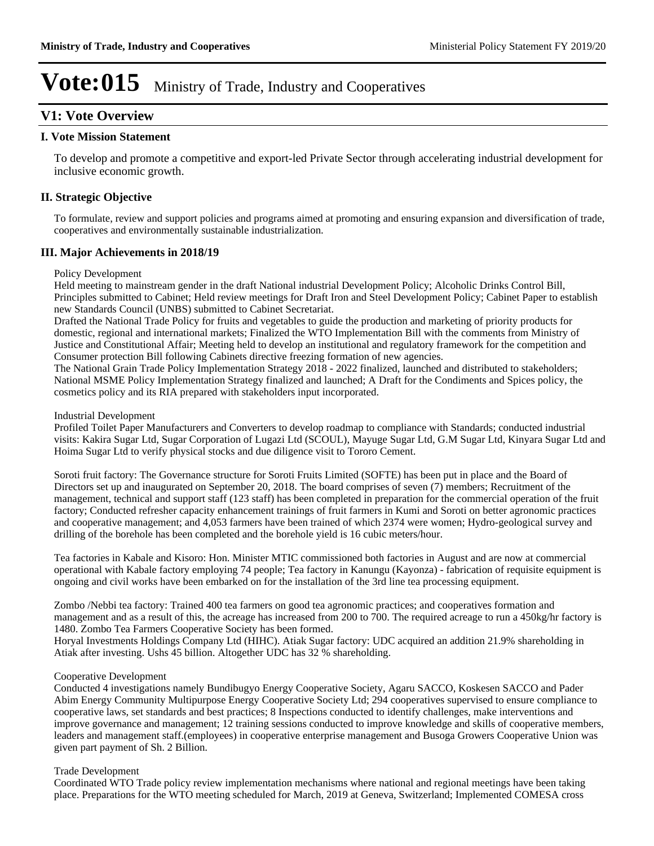### **V1: Vote Overview**

#### **I. Vote Mission Statement**

To develop and promote a competitive and export-led Private Sector through accelerating industrial development for inclusive economic growth.

### **II. Strategic Objective**

To formulate, review and support policies and programs aimed at promoting and ensuring expansion and diversification of trade, cooperatives and environmentally sustainable industrialization.

#### **III. Major Achievements in 2018/19**

#### Policy Development

Held meeting to mainstream gender in the draft National industrial Development Policy; Alcoholic Drinks Control Bill, Principles submitted to Cabinet; Held review meetings for Draft Iron and Steel Development Policy; Cabinet Paper to establish new Standards Council (UNBS) submitted to Cabinet Secretariat.

Drafted the National Trade Policy for fruits and vegetables to guide the production and marketing of priority products for domestic, regional and international markets; Finalized the WTO Implementation Bill with the comments from Ministry of Justice and Constitutional Affair; Meeting held to develop an institutional and regulatory framework for the competition and Consumer protection Bill following Cabinets directive freezing formation of new agencies.

The National Grain Trade Policy Implementation Strategy 2018 - 2022 finalized, launched and distributed to stakeholders; National MSME Policy Implementation Strategy finalized and launched; A Draft for the Condiments and Spices policy, the cosmetics policy and its RIA prepared with stakeholders input incorporated.

#### Industrial Development

Profiled Toilet Paper Manufacturers and Converters to develop roadmap to compliance with Standards; conducted industrial visits: Kakira Sugar Ltd, Sugar Corporation of Lugazi Ltd (SCOUL), Mayuge Sugar Ltd, G.M Sugar Ltd, Kinyara Sugar Ltd and Hoima Sugar Ltd to verify physical stocks and due diligence visit to Tororo Cement.

Soroti fruit factory: The Governance structure for Soroti Fruits Limited (SOFTE) has been put in place and the Board of Directors set up and inaugurated on September 20, 2018. The board comprises of seven (7) members; Recruitment of the management, technical and support staff (123 staff) has been completed in preparation for the commercial operation of the fruit factory; Conducted refresher capacity enhancement trainings of fruit farmers in Kumi and Soroti on better agronomic practices and cooperative management; and 4,053 farmers have been trained of which 2374 were women; Hydro-geological survey and drilling of the borehole has been completed and the borehole yield is 16 cubic meters/hour.

Tea factories in Kabale and Kisoro: Hon. Minister MTIC commissioned both factories in August and are now at commercial operational with Kabale factory employing 74 people; Tea factory in Kanungu (Kayonza) - fabrication of requisite equipment is ongoing and civil works have been embarked on for the installation of the 3rd line tea processing equipment.

Zombo /Nebbi tea factory: Trained 400 tea farmers on good tea agronomic practices; and cooperatives formation and management and as a result of this, the acreage has increased from 200 to 700. The required acreage to run a 450kg/hr factory is 1480. Zombo Tea Farmers Cooperative Society has been formed.

Horyal Investments Holdings Company Ltd (HIHC). Atiak Sugar factory: UDC acquired an addition 21.9% shareholding in Atiak after investing. Ushs 45 billion. Altogether UDC has 32 % shareholding.

#### Cooperative Development

Conducted 4 investigations namely Bundibugyo Energy Cooperative Society, Agaru SACCO, Koskesen SACCO and Pader Abim Energy Community Multipurpose Energy Cooperative Society Ltd; 294 cooperatives supervised to ensure compliance to cooperative laws, set standards and best practices; 8 Inspections conducted to identify challenges, make interventions and improve governance and management; 12 training sessions conducted to improve knowledge and skills of cooperative members, leaders and management staff.(employees) in cooperative enterprise management and Busoga Growers Cooperative Union was given part payment of Sh. 2 Billion.

#### Trade Development

Coordinated WTO Trade policy review implementation mechanisms where national and regional meetings have been taking place. Preparations for the WTO meeting scheduled for March, 2019 at Geneva, Switzerland; Implemented COMESA cross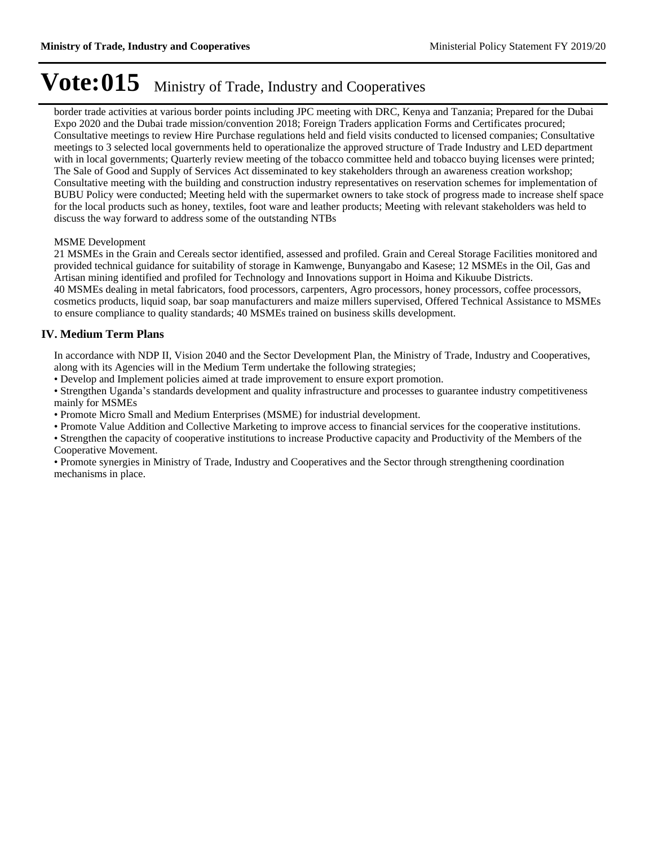border trade activities at various border points including JPC meeting with DRC, Kenya and Tanzania; Prepared for the Dubai Expo 2020 and the Dubai trade mission/convention 2018; Foreign Traders application Forms and Certificates procured; Consultative meetings to review Hire Purchase regulations held and field visits conducted to licensed companies; Consultative meetings to 3 selected local governments held to operationalize the approved structure of Trade Industry and LED department with in local governments; Quarterly review meeting of the tobacco committee held and tobacco buying licenses were printed; The Sale of Good and Supply of Services Act disseminated to key stakeholders through an awareness creation workshop; Consultative meeting with the building and construction industry representatives on reservation schemes for implementation of BUBU Policy were conducted; Meeting held with the supermarket owners to take stock of progress made to increase shelf space for the local products such as honey, textiles, foot ware and leather products; Meeting with relevant stakeholders was held to discuss the way forward to address some of the outstanding NTBs

#### MSME Development

21 MSMEs in the Grain and Cereals sector identified, assessed and profiled. Grain and Cereal Storage Facilities monitored and provided technical guidance for suitability of storage in Kamwenge, Bunyangabo and Kasese; 12 MSMEs in the Oil, Gas and Artisan mining identified and profiled for Technology and Innovations support in Hoima and Kikuube Districts. 40 MSMEs dealing in metal fabricators, food processors, carpenters, Agro processors, honey processors, coffee processors,

cosmetics products, liquid soap, bar soap manufacturers and maize millers supervised, Offered Technical Assistance to MSMEs to ensure compliance to quality standards; 40 MSMEs trained on business skills development.

#### **IV. Medium Term Plans**

In accordance with NDP II, Vision 2040 and the Sector Development Plan, the Ministry of Trade, Industry and Cooperatives, along with its Agencies will in the Medium Term undertake the following strategies;

Develop and Implement policies aimed at trade improvement to ensure export promotion.

• Strengthen Uganda's standards development and quality infrastructure and processes to guarantee industry competitiveness mainly for MSMEs

Promote Micro Small and Medium Enterprises (MSME) for industrial development.

Promote Value Addition and Collective Marketing to improve access to financial services for the cooperative institutions.

Strengthen the capacity of cooperative institutions to increase Productive capacity and Productivity of the Members of the Cooperative Movement.

Promote synergies in Ministry of Trade, Industry and Cooperatives and the Sector through strengthening coordination mechanisms in place.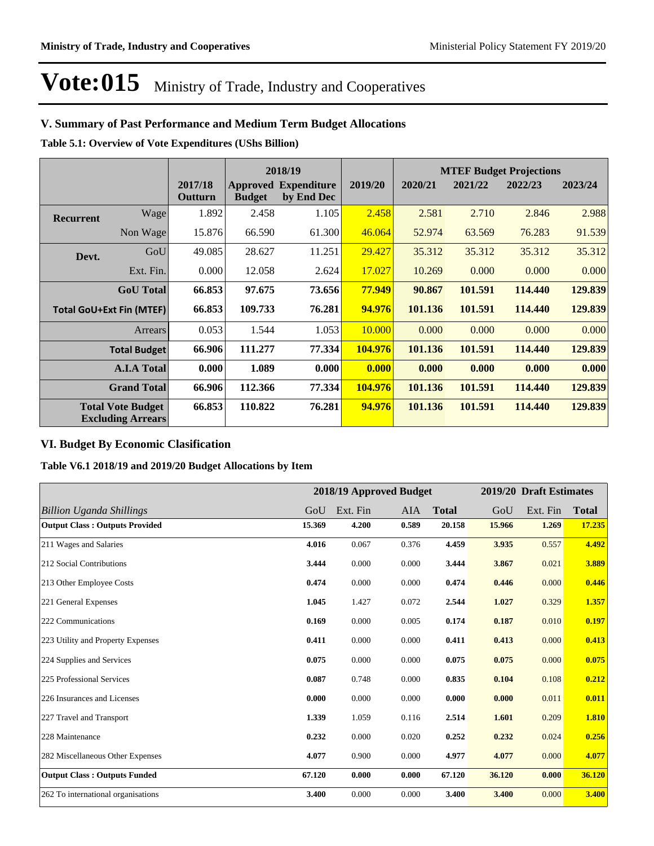### **V. Summary of Past Performance and Medium Term Budget Allocations**

**Table 5.1: Overview of Vote Expenditures (UShs Billion)**

|                  |                                                      |                    |               | 2018/19                                   |         | <b>MTEF Budget Projections</b> |         |         |         |
|------------------|------------------------------------------------------|--------------------|---------------|-------------------------------------------|---------|--------------------------------|---------|---------|---------|
|                  |                                                      | 2017/18<br>Outturn | <b>Budget</b> | <b>Approved Expenditure</b><br>by End Dec | 2019/20 | 2020/21                        | 2021/22 | 2022/23 | 2023/24 |
| <b>Recurrent</b> | Wage                                                 | 1.892              | 2.458         | 1.105                                     | 2.458   | 2.581                          | 2.710   | 2.846   | 2.988   |
|                  | Non Wage                                             | 15.876             | 66.590        | 61.300                                    | 46.064  | 52.974                         | 63.569  | 76.283  | 91.539  |
| Devt.            | GoU                                                  | 49.085             | 28.627        | 11.251                                    | 29.427  | 35.312                         | 35.312  | 35.312  | 35.312  |
|                  | Ext. Fin.                                            | 0.000              | 12.058        | 2.624                                     | 17.027  | 10.269                         | 0.000   | 0.000   | 0.000   |
|                  | <b>GoU</b> Total                                     | 66.853             | 97.675        | 73.656                                    | 77.949  | 90.867                         | 101.591 | 114.440 | 129.839 |
|                  | <b>Total GoU+Ext Fin (MTEF)</b>                      | 66.853             | 109.733       | 76.281                                    | 94.976  | 101.136                        | 101.591 | 114.440 | 129.839 |
|                  | <b>Arrears</b>                                       | 0.053              | 1.544         | 1.053                                     | 10.000  | 0.000                          | 0.000   | 0.000   | 0.000   |
|                  | <b>Total Budget</b>                                  | 66.906             | 111.277       | 77.334                                    | 104.976 | 101.136                        | 101.591 | 114.440 | 129.839 |
|                  | <b>A.I.A Total</b>                                   | 0.000              | 1.089         | 0.000                                     | 0.000   | 0.000                          | 0.000   | 0.000   | 0.000   |
|                  | <b>Grand Total</b>                                   | 66.906             | 112.366       | 77.334                                    | 104.976 | 101.136                        | 101.591 | 114.440 | 129.839 |
|                  | <b>Total Vote Budget</b><br><b>Excluding Arrears</b> | 66.853             | 110.822       | 76.281                                    | 94.976  | 101.136                        | 101.591 | 114.440 | 129.839 |

### **VI. Budget By Economic Clasification**

**Table V6.1 2018/19 and 2019/20 Budget Allocations by Item**

|                                       |        |          | 2018/19 Approved Budget |              |        | 2019/20 Draft Estimates |              |
|---------------------------------------|--------|----------|-------------------------|--------------|--------|-------------------------|--------------|
| <b>Billion Uganda Shillings</b>       | GoU    | Ext. Fin | AIA                     | <b>Total</b> | GoU    | Ext. Fin                | <b>Total</b> |
| <b>Output Class: Outputs Provided</b> | 15.369 | 4.200    | 0.589                   | 20.158       | 15.966 | 1.269                   | 17.235       |
| 211 Wages and Salaries                | 4.016  | 0.067    | 0.376                   | 4.459        | 3.935  | 0.557                   | 4.492        |
| 212 Social Contributions              | 3.444  | 0.000    | 0.000                   | 3.444        | 3.867  | 0.021                   | 3.889        |
| 213 Other Employee Costs              | 0.474  | 0.000    | 0.000                   | 0.474        | 0.446  | 0.000                   | 0.446        |
| 221 General Expenses                  | 1.045  | 1.427    | 0.072                   | 2.544        | 1.027  | 0.329                   | 1.357        |
| 222 Communications                    | 0.169  | 0.000    | 0.005                   | 0.174        | 0.187  | 0.010                   | 0.197        |
| 223 Utility and Property Expenses     | 0.411  | 0.000    | 0.000                   | 0.411        | 0.413  | 0.000                   | 0.413        |
| 224 Supplies and Services             | 0.075  | 0.000    | 0.000                   | 0.075        | 0.075  | 0.000                   | 0.075        |
| 225 Professional Services             | 0.087  | 0.748    | 0.000                   | 0.835        | 0.104  | 0.108                   | 0.212        |
| 226 Insurances and Licenses           | 0.000  | 0.000    | 0.000                   | 0.000        | 0.000  | 0.011                   | 0.011        |
| 227 Travel and Transport              | 1.339  | 1.059    | 0.116                   | 2.514        | 1.601  | 0.209                   | 1.810        |
| 228 Maintenance                       | 0.232  | 0.000    | 0.020                   | 0.252        | 0.232  | 0.024                   | 0.256        |
| 282 Miscellaneous Other Expenses      | 4.077  | 0.900    | 0.000                   | 4.977        | 4.077  | 0.000                   | 4.077        |
| <b>Output Class: Outputs Funded</b>   | 67.120 | 0.000    | 0.000                   | 67.120       | 36.120 | 0.000                   | 36.120       |
| 262 To international organisations    | 3.400  | 0.000    | 0.000                   | 3.400        | 3.400  | 0.000                   | 3.400        |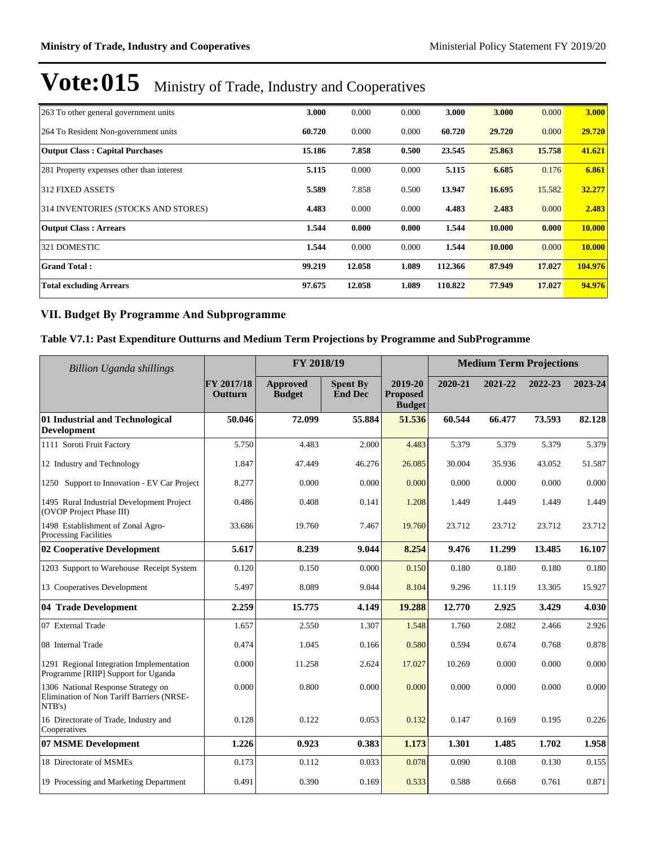| 263 To other general government units     | 3.000  | 0.000  | 0.000 | 3.000   | 3.000  | 0.000  | 3.000         |
|-------------------------------------------|--------|--------|-------|---------|--------|--------|---------------|
| 264 To Resident Non-government units      | 60.720 | 0.000  | 0.000 | 60.720  | 29.720 | 0.000  | 29.720        |
| <b>Output Class: Capital Purchases</b>    | 15.186 | 7.858  | 0.500 | 23.545  | 25,863 | 15.758 | 41.621        |
| 281 Property expenses other than interest | 5.115  | 0.000  | 0.000 | 5.115   | 6.685  | 0.176  | 6.861         |
| 312 FIXED ASSETS                          | 5.589  | 7.858  | 0.500 | 13.947  | 16.695 | 15.582 | 32.277        |
| 314 INVENTORIES (STOCKS AND STORES)       | 4.483  | 0.000  | 0.000 | 4.483   | 2.483  | 0.000  | 2.483         |
| <b>Output Class: Arrears</b>              | 1.544  | 0.000  | 0.000 | 1.544   | 10.000 | 0.000  | <b>10.000</b> |
| 321 DOMESTIC                              | 1.544  | 0.000  | 0.000 | 1.544   | 10.000 | 0.000  | 10.000        |
| <b>Grand Total:</b>                       | 99.219 | 12.058 | 1.089 | 112.366 | 87.949 | 17.027 | 104.976       |
| <b>Total excluding Arrears</b>            | 97.675 | 12.058 | 1.089 | 110.822 | 77.949 | 17.027 | 94.976        |

### **VII. Budget By Programme And Subprogramme**

#### **Table V7.1: Past Expenditure Outturns and Medium Term Projections by Programme and SubProgramme**

| <b>Billion Uganda shillings</b>                                                           |                       | FY 2018/19                       |                                   |                                             | <b>Medium Term Projections</b> |         |         |         |
|-------------------------------------------------------------------------------------------|-----------------------|----------------------------------|-----------------------------------|---------------------------------------------|--------------------------------|---------|---------|---------|
|                                                                                           | FY 2017/18<br>Outturn | <b>Approved</b><br><b>Budget</b> | <b>Spent By</b><br><b>End Dec</b> | 2019-20<br><b>Proposed</b><br><b>Budget</b> | 2020-21                        | 2021-22 | 2022-23 | 2023-24 |
| 01 Industrial and Technological<br><b>Development</b>                                     | 50.046                | 72.099                           | 55.884                            | 51.536                                      | 60.544                         | 66.477  | 73.593  | 82.128  |
| 1111 Soroti Fruit Factory                                                                 | 5.750                 | 4.483                            | 2.000                             | 4.483                                       | 5.379                          | 5.379   | 5.379   | 5.379   |
| 12 Industry and Technology                                                                | 1.847                 | 47.449                           | 46.276                            | 26.085                                      | 30.004                         | 35.936  | 43.052  | 51.587  |
| 1250 Support to Innovation - EV Car Project                                               | 8.277                 | 0.000                            | 0.000                             | 0.000                                       | 0.000                          | 0.000   | 0.000   | 0.000   |
| 1495 Rural Industrial Development Project<br>(OVOP Project Phase III)                     | 0.486                 | 0.408                            | 0.141                             | 1.208                                       | 1.449                          | 1.449   | 1.449   | 1.449   |
| 1498 Establishment of Zonal Agro-<br><b>Processing Facilities</b>                         | 33.686                | 19.760                           | 7.467                             | 19.760                                      | 23.712                         | 23.712  | 23.712  | 23.712  |
| 02 Cooperative Development                                                                | 5.617                 | 8.239                            | 9.044                             | 8.254                                       | 9.476                          | 11.299  | 13.485  | 16.107  |
| 1203 Support to Warehouse Receipt System                                                  | 0.120                 | 0.150                            | 0.000                             | 0.150                                       | 0.180                          | 0.180   | 0.180   | 0.180   |
| 13 Cooperatives Development                                                               | 5.497                 | 8.089                            | 9.044                             | 8.104                                       | 9.296                          | 11.119  | 13.305  | 15.927  |
| 04 Trade Development                                                                      | 2.259                 | 15.775                           | 4.149                             | 19.288                                      | 12.770                         | 2.925   | 3.429   | 4.030   |
| 07 External Trade                                                                         | 1.657                 | 2.550                            | 1.307                             | 1.548                                       | 1.760                          | 2.082   | 2.466   | 2.926   |
| 08 Internal Trade                                                                         | 0.474                 | 1.045                            | 0.166                             | 0.580                                       | 0.594                          | 0.674   | 0.768   | 0.878   |
| 1291 Regional Integration Implementation<br>Programme [RIIP] Support for Uganda           | 0.000                 | 11.258                           | 2.624                             | 17.027                                      | 10.269                         | 0.000   | 0.000   | 0.000   |
| 1306 National Response Strategy on<br>Elimination of Non Tariff Barriers (NRSE-<br>NTB's) | 0.000                 | 0.800                            | 0.000                             | 0.000                                       | 0.000                          | 0.000   | 0.000   | 0.000   |
| 16 Directorate of Trade, Industry and<br>Cooperatives                                     | 0.128                 | 0.122                            | 0.053                             | 0.132                                       | 0.147                          | 0.169   | 0.195   | 0.226   |
| 07 MSME Development                                                                       | 1.226                 | 0.923                            | 0.383                             | 1.173                                       | 1.301                          | 1.485   | 1.702   | 1.958   |
| 18 Directorate of MSMEs                                                                   | 0.173                 | 0.112                            | 0.033                             | 0.078                                       | 0.090                          | 0.108   | 0.130   | 0.155   |
| 19 Processing and Marketing Department                                                    | 0.491                 | 0.390                            | 0.169                             | 0.533                                       | 0.588                          | 0.668   | 0.761   | 0.871   |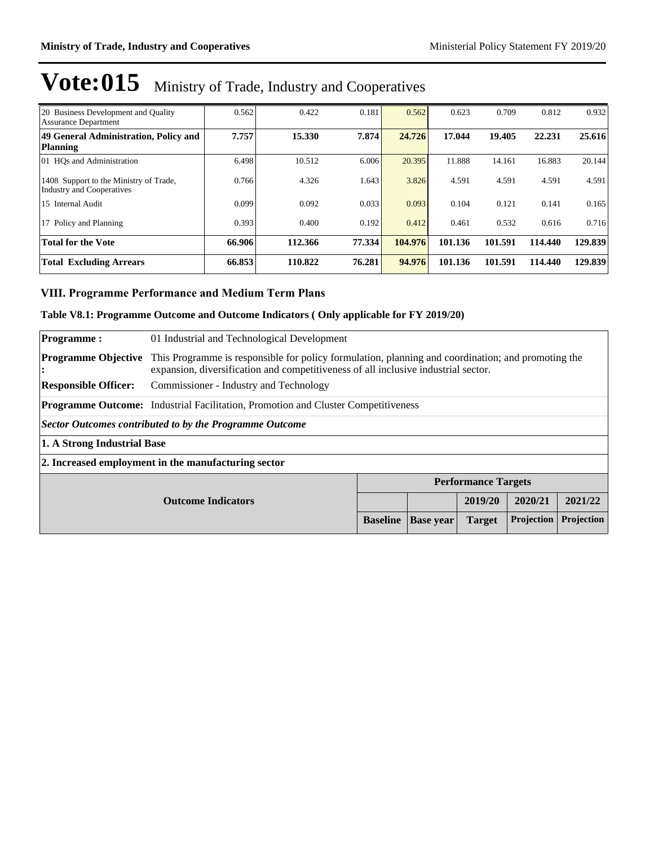| 20 Business Development and Quality<br>Assurance Department                | 0.562  | 0.422   | 0.181  | 0.562   | 0.623   | 0.709   | 0.812   | 0.932   |
|----------------------------------------------------------------------------|--------|---------|--------|---------|---------|---------|---------|---------|
| 49 General Administration, Policy and<br>Planning                          | 7.757  | 15.330  | 7.874  | 24.726  | 17.044  | 19.405  | 22.231  | 25.616  |
| 01 HOs and Administration                                                  | 6.498  | 10.512  | 6.006  | 20.395  | 11.888  | 14.161  | 16.883  | 20.144  |
| 1408 Support to the Ministry of Trade,<br><b>Industry and Cooperatives</b> | 0.766  | 4.326   | 1.643  | 3.826   | 4.591   | 4.591   | 4.591   | 4.591   |
| 15 Internal Audit                                                          | 0.099  | 0.092   | 0.033  | 0.093   | 0.104   | 0.121   | 0.141   | 0.165   |
| 17 Policy and Planning                                                     | 0.393  | 0.400   | 0.192  | 0.412   | 0.461   | 0.532   | 0.616   | 0.716   |
| <b>Total for the Vote</b>                                                  | 66.906 | 112.366 | 77.334 | 104.976 | 101.136 | 101.591 | 114.440 | 129.839 |
| <b>Total Excluding Arrears</b>                                             | 66.853 | 110.822 | 76.281 | 94.976  | 101.136 | 101.591 | 114.440 | 129.839 |

### **VIII. Programme Performance and Medium Term Plans**

### **Table V8.1: Programme Outcome and Outcome Indicators ( Only applicable for FY 2019/20)**

| <b>Programme:</b>                                                  | 01 Industrial and Technological Development                                              |                                                                                                                                                                                          |         |                            |         |            |  |  |
|--------------------------------------------------------------------|------------------------------------------------------------------------------------------|------------------------------------------------------------------------------------------------------------------------------------------------------------------------------------------|---------|----------------------------|---------|------------|--|--|
| <b>Programme Objective</b><br>$\bullet$                            |                                                                                          | This Programme is responsible for policy formulation, planning and coordination; and promoting the<br>expansion, diversification and competitiveness of all inclusive industrial sector. |         |                            |         |            |  |  |
| <b>Responsible Officer:</b>                                        | Commissioner - Industry and Technology                                                   |                                                                                                                                                                                          |         |                            |         |            |  |  |
|                                                                    | <b>Programme Outcome:</b> Industrial Facilitation, Promotion and Cluster Competitiveness |                                                                                                                                                                                          |         |                            |         |            |  |  |
| <b>Sector Outcomes contributed to by the Programme Outcome</b>     |                                                                                          |                                                                                                                                                                                          |         |                            |         |            |  |  |
| 1. A Strong Industrial Base                                        |                                                                                          |                                                                                                                                                                                          |         |                            |         |            |  |  |
|                                                                    | 2. Increased employment in the manufacturing sector                                      |                                                                                                                                                                                          |         |                            |         |            |  |  |
|                                                                    |                                                                                          |                                                                                                                                                                                          |         | <b>Performance Targets</b> |         |            |  |  |
|                                                                    |                                                                                          |                                                                                                                                                                                          | 2019/20 | 2020/21                    | 2021/22 |            |  |  |
| Projection<br><b>Baseline</b><br><b>Base year</b><br><b>Target</b> |                                                                                          |                                                                                                                                                                                          |         |                            |         | Projection |  |  |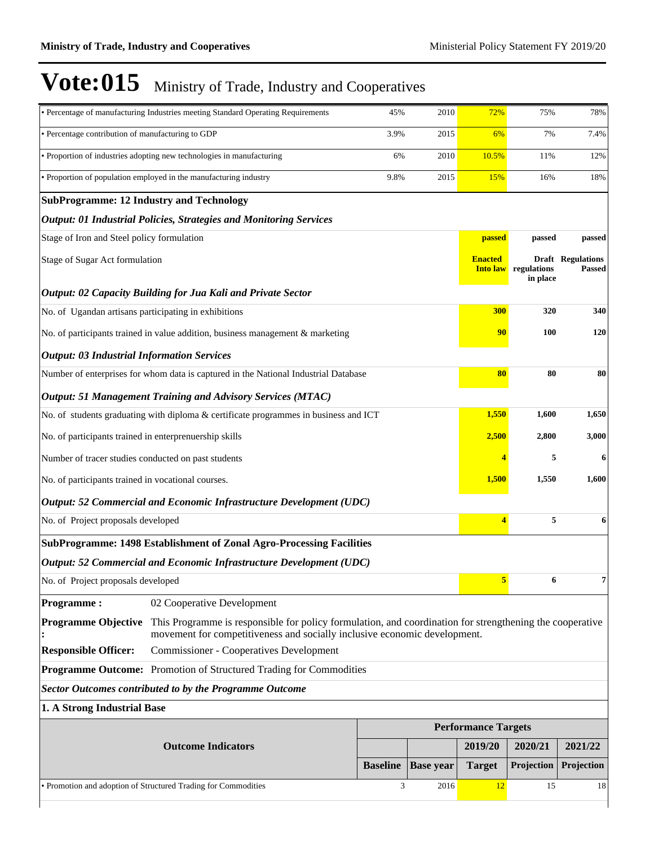|                                                        | · Percentage of manufacturing Industries meeting Standard Operating Requirements                                                                                                      | 45%             | 2010             | <b>72%</b>                        | 75%                     | 78%                                       |
|--------------------------------------------------------|---------------------------------------------------------------------------------------------------------------------------------------------------------------------------------------|-----------------|------------------|-----------------------------------|-------------------------|-------------------------------------------|
| • Percentage contribution of manufacturing to GDP      |                                                                                                                                                                                       | 3.9%            | 2015             | 6%                                | 7%                      | 7.4%                                      |
|                                                        | • Proportion of industries adopting new technologies in manufacturing                                                                                                                 | 6%              | 2010             | 10.5%                             | 11%                     | 12%                                       |
|                                                        | • Proportion of population employed in the manufacturing industry                                                                                                                     | 9.8%            | 2015             | 15%                               | 16%                     | 18%                                       |
| <b>SubProgramme: 12 Industry and Technology</b>        |                                                                                                                                                                                       |                 |                  |                                   |                         |                                           |
|                                                        | <b>Output: 01 Industrial Policies, Strategies and Monitoring Services</b>                                                                                                             |                 |                  |                                   |                         |                                           |
| Stage of Iron and Steel policy formulation             |                                                                                                                                                                                       |                 |                  | <b>passed</b>                     | passed                  | passed                                    |
| Stage of Sugar Act formulation                         |                                                                                                                                                                                       |                 |                  | <b>Enacted</b><br><b>Into law</b> | regulations<br>in place | <b>Draft Regulations</b><br><b>Passed</b> |
|                                                        | Output: 02 Capacity Building for Jua Kali and Private Sector                                                                                                                          |                 |                  |                                   |                         |                                           |
| No. of Ugandan artisans participating in exhibitions   |                                                                                                                                                                                       |                 |                  | 300                               | 320                     | 340                                       |
|                                                        | No. of participants trained in value addition, business management & marketing                                                                                                        |                 |                  | 90                                | <b>100</b>              | 120                                       |
| <b>Output: 03 Industrial Information Services</b>      |                                                                                                                                                                                       |                 |                  |                                   |                         |                                           |
|                                                        | Number of enterprises for whom data is captured in the National Industrial Database                                                                                                   |                 |                  | 80                                | 80                      | 80                                        |
|                                                        | <b>Output: 51 Management Training and Advisory Services (MTAC)</b>                                                                                                                    |                 |                  |                                   |                         |                                           |
|                                                        | No. of students graduating with diploma & certificate programmes in business and ICT                                                                                                  |                 |                  | 1,550                             | 1,600                   | 1,650                                     |
| No. of participants trained in enterprenuership skills |                                                                                                                                                                                       |                 |                  |                                   | 2,500<br>2,800          | 3,000                                     |
| Number of tracer studies conducted on past students    |                                                                                                                                                                                       |                 |                  |                                   | 5                       | 6                                         |
| No. of participants trained in vocational courses.     |                                                                                                                                                                                       |                 |                  | 1,500                             | 1,550                   | 1,600                                     |
|                                                        | Output: 52 Commercial and Economic Infrastructure Development (UDC)                                                                                                                   |                 |                  |                                   |                         |                                           |
| No. of Project proposals developed                     |                                                                                                                                                                                       |                 |                  | $\overline{4}$                    | 5                       | 6                                         |
|                                                        | <b>SubProgramme: 1498 Establishment of Zonal Agro-Processing Facilities</b>                                                                                                           |                 |                  |                                   |                         |                                           |
|                                                        | Output: 52 Commercial and Economic Infrastructure Development (UDC)                                                                                                                   |                 |                  |                                   |                         |                                           |
| No. of Project proposals developed                     |                                                                                                                                                                                       |                 |                  | $5\overline{)}$                   | 6                       | 7                                         |
| <b>Programme:</b>                                      | 02 Cooperative Development                                                                                                                                                            |                 |                  |                                   |                         |                                           |
| <b>Programme Objective</b>                             | This Programme is responsible for policy formulation, and coordination for strengthening the cooperative<br>movement for competitiveness and socially inclusive economic development. |                 |                  |                                   |                         |                                           |
| <b>Responsible Officer:</b>                            | <b>Commissioner - Cooperatives Development</b>                                                                                                                                        |                 |                  |                                   |                         |                                           |
|                                                        | <b>Programme Outcome:</b> Promotion of Structured Trading for Commodities                                                                                                             |                 |                  |                                   |                         |                                           |
|                                                        | <b>Sector Outcomes contributed to by the Programme Outcome</b>                                                                                                                        |                 |                  |                                   |                         |                                           |
| 1. A Strong Industrial Base                            |                                                                                                                                                                                       |                 |                  |                                   |                         |                                           |
|                                                        |                                                                                                                                                                                       |                 |                  | <b>Performance Targets</b>        |                         |                                           |
|                                                        | <b>Outcome Indicators</b>                                                                                                                                                             |                 |                  | 2019/20                           | 2020/21                 | 2021/22                                   |
|                                                        |                                                                                                                                                                                       | <b>Baseline</b> | <b>Base year</b> | <b>Target</b>                     | Projection              | Projection                                |
|                                                        | • Promotion and adoption of Structured Trading for Commodities                                                                                                                        | 3               | 2016             | 12                                | 15                      | 18                                        |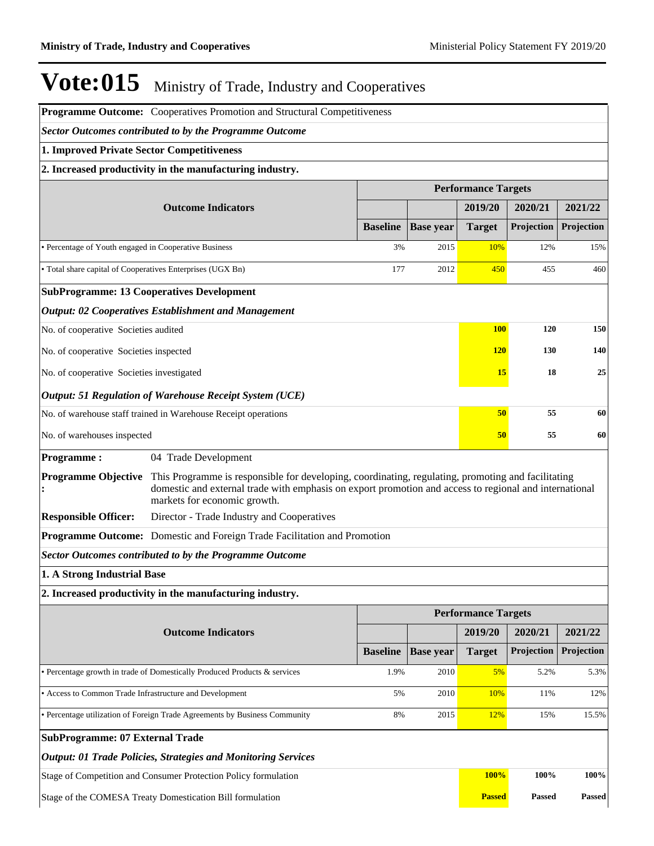|                                                            | Programme Outcome: Cooperatives Promotion and Structural Competitiveness                                                                                                                                                                     |                 |                  |                            |               |            |
|------------------------------------------------------------|----------------------------------------------------------------------------------------------------------------------------------------------------------------------------------------------------------------------------------------------|-----------------|------------------|----------------------------|---------------|------------|
|                                                            | Sector Outcomes contributed to by the Programme Outcome                                                                                                                                                                                      |                 |                  |                            |               |            |
| 1. Improved Private Sector Competitiveness                 |                                                                                                                                                                                                                                              |                 |                  |                            |               |            |
|                                                            | 2. Increased productivity in the manufacturing industry.                                                                                                                                                                                     |                 |                  |                            |               |            |
|                                                            |                                                                                                                                                                                                                                              |                 |                  | <b>Performance Targets</b> |               |            |
|                                                            | <b>Outcome Indicators</b>                                                                                                                                                                                                                    |                 |                  | 2019/20                    | 2020/21       | 2021/22    |
|                                                            |                                                                                                                                                                                                                                              | <b>Baseline</b> | <b>Base year</b> | <b>Target</b>              | Projection    | Projection |
| • Percentage of Youth engaged in Cooperative Business      |                                                                                                                                                                                                                                              | 3%              | 2015             | 10%                        | 12%           | 15%        |
| • Total share capital of Cooperatives Enterprises (UGX Bn) |                                                                                                                                                                                                                                              | 177             | 2012             | 450                        | 455           | 460        |
|                                                            | <b>SubProgramme: 13 Cooperatives Development</b>                                                                                                                                                                                             |                 |                  |                            |               |            |
|                                                            | <b>Output: 02 Cooperatives Establishment and Management</b>                                                                                                                                                                                  |                 |                  |                            |               |            |
| No. of cooperative Societies audited                       |                                                                                                                                                                                                                                              |                 |                  | <b>100</b>                 | 120           | 150        |
| No. of cooperative Societies inspected                     |                                                                                                                                                                                                                                              |                 | <b>120</b>       | 130                        | 140           |            |
| No. of cooperative Societies investigated                  |                                                                                                                                                                                                                                              |                 |                  | <b>15</b>                  | 18            | 25         |
|                                                            | Output: 51 Regulation of Warehouse Receipt System (UCE)                                                                                                                                                                                      |                 |                  |                            |               |            |
|                                                            | No. of warehouse staff trained in Warehouse Receipt operations                                                                                                                                                                               |                 |                  | 50                         | 55            | 60         |
| No. of warehouses inspected                                |                                                                                                                                                                                                                                              |                 |                  | 50                         | 55            | 60         |
| <b>Programme:</b>                                          | 04 Trade Development                                                                                                                                                                                                                         |                 |                  |                            |               |            |
| <b>Programme Objective</b>                                 | This Programme is responsible for developing, coordinating, regulating, promoting and facilitating<br>domestic and external trade with emphasis on export promotion and access to regional and international<br>markets for economic growth. |                 |                  |                            |               |            |
| <b>Responsible Officer:</b>                                | Director - Trade Industry and Cooperatives                                                                                                                                                                                                   |                 |                  |                            |               |            |
|                                                            | Programme Outcome: Domestic and Foreign Trade Facilitation and Promotion                                                                                                                                                                     |                 |                  |                            |               |            |
|                                                            | <b>Sector Outcomes contributed to by the Programme Outcome</b>                                                                                                                                                                               |                 |                  |                            |               |            |
| 1. A Strong Industrial Base                                |                                                                                                                                                                                                                                              |                 |                  |                            |               |            |
|                                                            | 2. Increased productivity in the manufacturing industry.                                                                                                                                                                                     |                 |                  |                            |               |            |
|                                                            |                                                                                                                                                                                                                                              |                 |                  | <b>Performance Targets</b> |               |            |
|                                                            | <b>Outcome Indicators</b>                                                                                                                                                                                                                    |                 |                  | 2019/20                    | 2020/21       | 2021/22    |
|                                                            |                                                                                                                                                                                                                                              | <b>Baseline</b> | <b>Base year</b> | <b>Target</b>              | Projection    | Projection |
|                                                            | · Percentage growth in trade of Domestically Produced Products & services                                                                                                                                                                    | 1.9%            | 2010             | 5%                         | 5.2%          | 5.3%       |
| • Access to Common Trade Infrastructure and Development    |                                                                                                                                                                                                                                              | 5%              | 2010             | 10%                        | 11%           | 12%        |
|                                                            | • Percentage utilization of Foreign Trade Agreements by Business Community                                                                                                                                                                   | 8%              | 2015             | 12%                        | 15%           | 15.5%      |
| <b>SubProgramme: 07 External Trade</b>                     |                                                                                                                                                                                                                                              |                 |                  |                            |               |            |
|                                                            | <b>Output: 01 Trade Policies, Strategies and Monitoring Services</b>                                                                                                                                                                         |                 |                  |                            |               |            |
|                                                            | Stage of Competition and Consumer Protection Policy formulation                                                                                                                                                                              |                 |                  | 100%                       | 100%          | 100%       |
|                                                            | Stage of the COMESA Treaty Domestication Bill formulation                                                                                                                                                                                    |                 |                  | <b>Passed</b>              | <b>Passed</b> | Passed     |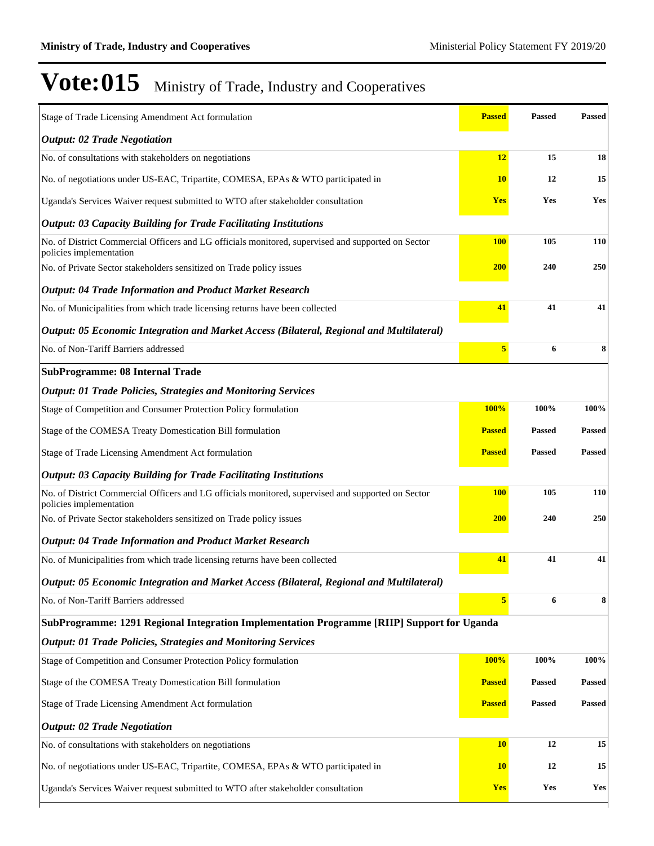| Stage of Trade Licensing Amendment Act formulation                                                                            | <b>Passed</b> | <b>Passed</b> | <b>Passed</b> |
|-------------------------------------------------------------------------------------------------------------------------------|---------------|---------------|---------------|
| <b>Output: 02 Trade Negotiation</b>                                                                                           |               |               |               |
| No. of consultations with stakeholders on negotiations                                                                        | 12            | 15            | 18            |
| No. of negotiations under US-EAC, Tripartite, COMESA, EPAs & WTO participated in                                              | <b>10</b>     | 12            | 15            |
| Uganda's Services Waiver request submitted to WTO after stakeholder consultation                                              | <b>Yes</b>    | Yes           | Yes           |
| <b>Output: 03 Capacity Building for Trade Facilitating Institutions</b>                                                       |               |               |               |
| No. of District Commercial Officers and LG officials monitored, supervised and supported on Sector<br>policies implementation | <b>100</b>    | 105           | 110           |
| No. of Private Sector stakeholders sensitized on Trade policy issues                                                          | <b>200</b>    | 240           | 250           |
| <b>Output: 04 Trade Information and Product Market Research</b>                                                               |               |               |               |
| No. of Municipalities from which trade licensing returns have been collected                                                  | 41            | 41            | 41            |
| Output: 05 Economic Integration and Market Access (Bilateral, Regional and Multilateral)                                      |               |               |               |
| No. of Non-Tariff Barriers addressed                                                                                          | 5             | 6             | 8             |
| <b>SubProgramme: 08 Internal Trade</b>                                                                                        |               |               |               |
| <b>Output: 01 Trade Policies, Strategies and Monitoring Services</b>                                                          |               |               |               |
| Stage of Competition and Consumer Protection Policy formulation                                                               | 100%          | 100%          | 100%          |
| Stage of the COMESA Treaty Domestication Bill formulation                                                                     | <b>Passed</b> | <b>Passed</b> | <b>Passed</b> |
| Stage of Trade Licensing Amendment Act formulation                                                                            | <b>Passed</b> | <b>Passed</b> | <b>Passed</b> |
| <b>Output: 03 Capacity Building for Trade Facilitating Institutions</b>                                                       |               |               |               |
| No. of District Commercial Officers and LG officials monitored, supervised and supported on Sector<br>policies implementation | <b>100</b>    | 105           | 110           |
| No. of Private Sector stakeholders sensitized on Trade policy issues                                                          | <b>200</b>    | 240           | 250           |
| <b>Output: 04 Trade Information and Product Market Research</b>                                                               |               |               |               |
| No. of Municipalities from which trade licensing returns have been collected                                                  | 41            | 41            | 41            |
| Output: 05 Economic Integration and Market Access (Bilateral, Regional and Multilateral)                                      |               |               |               |
| No. of Non-Tariff Barriers addressed                                                                                          | 5             | 6             | 8             |
| SubProgramme: 1291 Regional Integration Implementation Programme [RIIP] Support for Uganda                                    |               |               |               |
| <b>Output: 01 Trade Policies, Strategies and Monitoring Services</b>                                                          |               |               |               |
| Stage of Competition and Consumer Protection Policy formulation                                                               | <b>100%</b>   | 100%          | 100%          |
| Stage of the COMESA Treaty Domestication Bill formulation                                                                     | <b>Passed</b> | <b>Passed</b> | <b>Passed</b> |
| Stage of Trade Licensing Amendment Act formulation                                                                            | <b>Passed</b> | <b>Passed</b> | <b>Passed</b> |
| <b>Output: 02 Trade Negotiation</b>                                                                                           |               |               |               |
| No. of consultations with stakeholders on negotiations                                                                        | <b>10</b>     | 12            | 15            |
| No. of negotiations under US-EAC, Tripartite, COMESA, EPAs & WTO participated in                                              | <b>10</b>     | 12            | 15            |
| Uganda's Services Waiver request submitted to WTO after stakeholder consultation                                              | Yes           | Yes           | Yes           |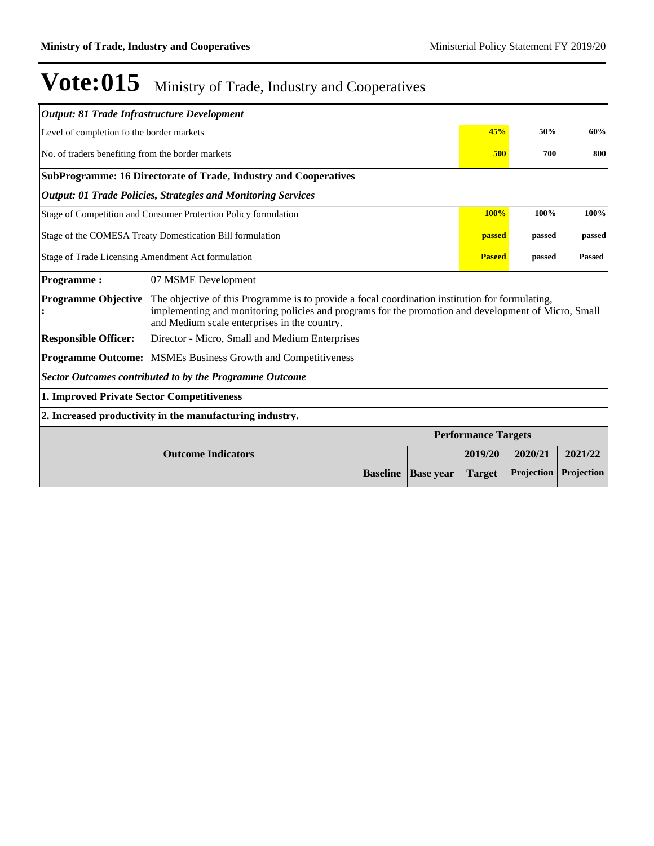| Output: 81 Trade Infrastructure Development                          |                                                                                                                                                                                                                                                        |                 |                  |                            |                         |               |  |  |
|----------------------------------------------------------------------|--------------------------------------------------------------------------------------------------------------------------------------------------------------------------------------------------------------------------------------------------------|-----------------|------------------|----------------------------|-------------------------|---------------|--|--|
| Level of completion fo the border markets                            |                                                                                                                                                                                                                                                        |                 |                  | 45%                        | 50%                     | 60%           |  |  |
| No. of traders benefiting from the border markets                    |                                                                                                                                                                                                                                                        |                 |                  | 500                        | 700                     | 800           |  |  |
|                                                                      | SubProgramme: 16 Directorate of Trade, Industry and Cooperatives                                                                                                                                                                                       |                 |                  |                            |                         |               |  |  |
| <b>Output: 01 Trade Policies, Strategies and Monitoring Services</b> |                                                                                                                                                                                                                                                        |                 |                  |                            |                         |               |  |  |
|                                                                      | Stage of Competition and Consumer Protection Policy formulation                                                                                                                                                                                        |                 |                  | <b>100%</b>                | 100%                    | 100%          |  |  |
| Stage of the COMESA Treaty Domestication Bill formulation            |                                                                                                                                                                                                                                                        |                 |                  |                            | passed<br><b>passed</b> | passed        |  |  |
| Stage of Trade Licensing Amendment Act formulation                   |                                                                                                                                                                                                                                                        |                 |                  |                            | <b>Paseed</b><br>passed | <b>Passed</b> |  |  |
| <b>Programme:</b>                                                    | 07 MSME Development                                                                                                                                                                                                                                    |                 |                  |                            |                         |               |  |  |
| <b>Programme Objective</b>                                           | The objective of this Programme is to provide a focal coordination institution for formulating,<br>implementing and monitoring policies and programs for the promotion and development of Micro, Small<br>and Medium scale enterprises in the country. |                 |                  |                            |                         |               |  |  |
| <b>Responsible Officer:</b>                                          | Director - Micro, Small and Medium Enterprises                                                                                                                                                                                                         |                 |                  |                            |                         |               |  |  |
|                                                                      | <b>Programme Outcome:</b> MSMEs Business Growth and Competitiveness                                                                                                                                                                                    |                 |                  |                            |                         |               |  |  |
|                                                                      | <b>Sector Outcomes contributed to by the Programme Outcome</b>                                                                                                                                                                                         |                 |                  |                            |                         |               |  |  |
| 1. Improved Private Sector Competitiveness                           |                                                                                                                                                                                                                                                        |                 |                  |                            |                         |               |  |  |
|                                                                      | 2. Increased productivity in the manufacturing industry.                                                                                                                                                                                               |                 |                  |                            |                         |               |  |  |
|                                                                      |                                                                                                                                                                                                                                                        |                 |                  | <b>Performance Targets</b> |                         |               |  |  |
|                                                                      | <b>Outcome Indicators</b>                                                                                                                                                                                                                              |                 |                  | 2019/20                    | 2020/21                 | 2021/22       |  |  |
|                                                                      |                                                                                                                                                                                                                                                        | <b>Baseline</b> | <b>Base year</b> | <b>Target</b>              | Projection              | Projection    |  |  |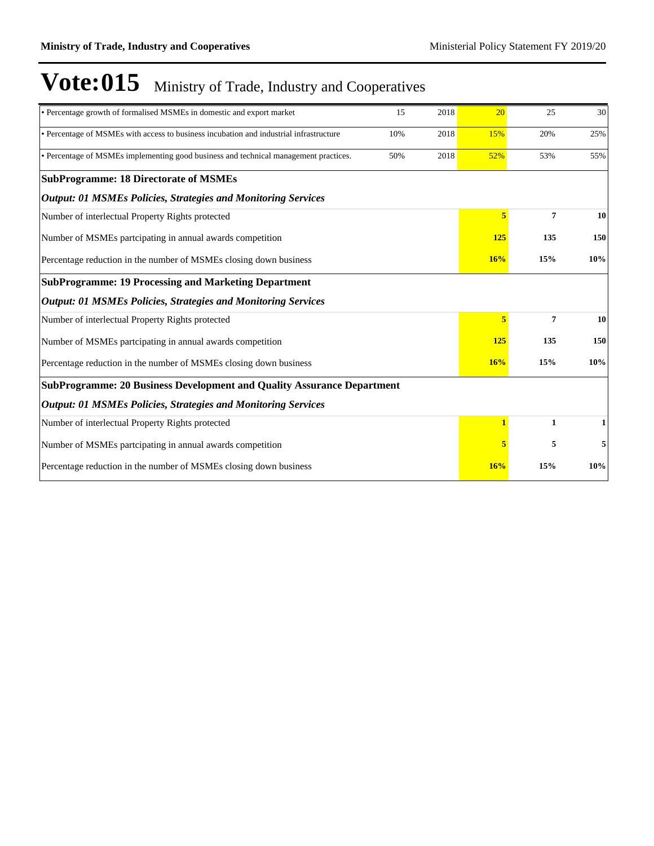| • Percentage growth of formalised MSMEs in domestic and export market                  | 15  | 2018 | 20             | 25             | 30  |
|----------------------------------------------------------------------------------------|-----|------|----------------|----------------|-----|
| • Percentage of MSMEs with access to business incubation and industrial infrastructure | 10% | 2018 | 15%            | 20%            | 25% |
| • Percentage of MSMEs implementing good business and technical management practices.   | 50% | 2018 | 52%            | 53%            | 55% |
| <b>SubProgramme: 18 Directorate of MSMEs</b>                                           |     |      |                |                |     |
| <b>Output: 01 MSMEs Policies, Strategies and Monitoring Services</b>                   |     |      |                |                |     |
| Number of interlectual Property Rights protected                                       |     |      | 5              | 7              | 10  |
| Number of MSMEs partcipating in annual awards competition                              |     |      | 125            | 135            | 150 |
| Percentage reduction in the number of MSMEs closing down business                      |     |      | 16%            | 15%            | 10% |
| <b>SubProgramme: 19 Processing and Marketing Department</b>                            |     |      |                |                |     |
| <b>Output: 01 MSMEs Policies, Strategies and Monitoring Services</b>                   |     |      |                |                |     |
| Number of interlectual Property Rights protected                                       |     |      | 5 <sup>1</sup> | $\overline{7}$ | 10  |
| Number of MSMEs partcipating in annual awards competition                              |     |      | 125            | 135            | 150 |
| Percentage reduction in the number of MSMEs closing down business                      |     |      | 16%            | 15%            | 10% |
| <b>SubProgramme: 20 Business Development and Quality Assurance Department</b>          |     |      |                |                |     |
| <b>Output: 01 MSMEs Policies, Strategies and Monitoring Services</b>                   |     |      |                |                |     |
| Number of interlectual Property Rights protected                                       |     |      | $\mathbf{1}$   | $\mathbf{1}$   | 1   |
| Number of MSMEs partcipating in annual awards competition                              |     |      | 5              | 5              | 5   |
| Percentage reduction in the number of MSMEs closing down business                      |     |      | 16%            | 15%            | 10% |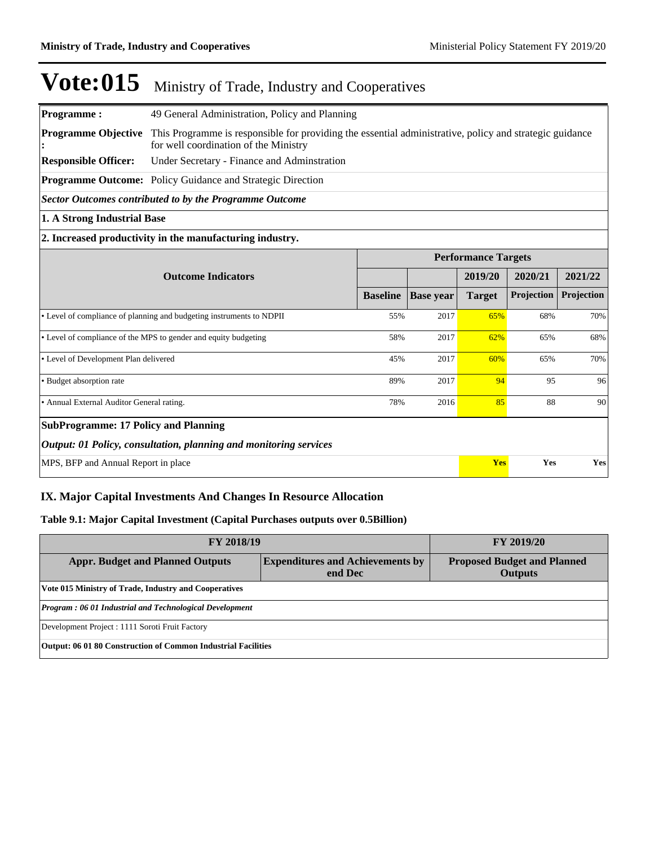| <b>Programme:</b>                           | 49 General Administration, Policy and Planning                                                                                                   |                            |                  |               |            |            |
|---------------------------------------------|--------------------------------------------------------------------------------------------------------------------------------------------------|----------------------------|------------------|---------------|------------|------------|
| <b>Programme Objective</b>                  | This Programme is responsible for providing the essential administrative, policy and strategic guidance<br>for well coordination of the Ministry |                            |                  |               |            |            |
| <b>Responsible Officer:</b>                 | Under Secretary - Finance and Adminstration                                                                                                      |                            |                  |               |            |            |
|                                             | Programme Outcome: Policy Guidance and Strategic Direction                                                                                       |                            |                  |               |            |            |
|                                             | Sector Outcomes contributed to by the Programme Outcome                                                                                          |                            |                  |               |            |            |
| 1. A Strong Industrial Base                 |                                                                                                                                                  |                            |                  |               |            |            |
|                                             | 2. Increased productivity in the manufacturing industry.                                                                                         |                            |                  |               |            |            |
|                                             |                                                                                                                                                  | <b>Performance Targets</b> |                  |               |            |            |
| <b>Outcome Indicators</b>                   |                                                                                                                                                  |                            |                  | 2019/20       | 2020/21    | 2021/22    |
|                                             |                                                                                                                                                  | <b>Baseline</b>            | <b>Base year</b> | <b>Target</b> | Projection | Projection |
|                                             | • Level of compliance of planning and budgeting instruments to NDPII                                                                             | 55%                        | 2017             | 65%           | 68%        | 70%        |
|                                             | • Level of compliance of the MPS to gender and equity budgeting                                                                                  | 58%                        | 2017             | 62%           | 65%        | 68%        |
| • Level of Development Plan delivered       |                                                                                                                                                  | 45%                        | 2017             | 60%           | 65%        | 70%        |
| • Budget absorption rate                    |                                                                                                                                                  | 89%                        | 2017             | 94            | 95         | 96         |
| • Annual External Auditor General rating.   |                                                                                                                                                  | 78%                        | 2016             | 85            | 88         | 90         |
| <b>SubProgramme: 17 Policy and Planning</b> |                                                                                                                                                  |                            |                  |               |            |            |
|                                             | <b>Output: 01 Policy, consultation, planning and monitoring services</b>                                                                         |                            |                  |               |            |            |
| MPS, BFP and Annual Report in place         |                                                                                                                                                  |                            |                  | Yes           | Yes        | Yes        |

### **IX. Major Capital Investments And Changes In Resource Allocation**

### **Table 9.1: Major Capital Investment (Capital Purchases outputs over 0.5Billion)**

| <b>FY 2018/19</b>                                             | <b>FY 2019/20</b>                                                                        |  |  |  |  |  |
|---------------------------------------------------------------|------------------------------------------------------------------------------------------|--|--|--|--|--|
| <b>Appr. Budget and Planned Outputs</b>                       | <b>Expenditures and Achievements by</b><br><b>Proposed Budget and Planned</b><br>end Dec |  |  |  |  |  |
| Vote 015 Ministry of Trade, Industry and Cooperatives         |                                                                                          |  |  |  |  |  |
| Program: 06 01 Industrial and Technological Development       |                                                                                          |  |  |  |  |  |
| Development Project : 1111 Soroti Fruit Factory               |                                                                                          |  |  |  |  |  |
| Output: 06 01 80 Construction of Common Industrial Facilities |                                                                                          |  |  |  |  |  |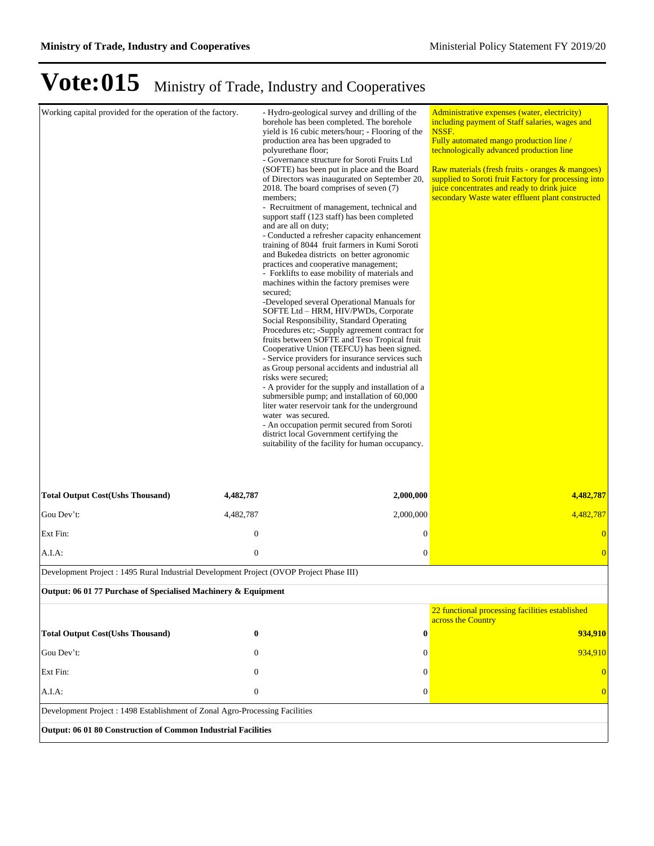| Working capital provided for the operation of the factory.                               |                  | - Hydro-geological survey and drilling of the<br>borehole has been completed. The borehole<br>yield is 16 cubic meters/hour; - Flooring of the<br>production area has been upgraded to<br>polyurethane floor;<br>- Governance structure for Soroti Fruits Ltd<br>(SOFTE) has been put in place and the Board<br>of Directors was inaugurated on September 20,<br>2018. The board comprises of seven (7)<br>members;<br>- Recruitment of management, technical and<br>support staff (123 staff) has been completed<br>and are all on duty;<br>- Conducted a refresher capacity enhancement<br>training of 8044 fruit farmers in Kumi Soroti<br>and Bukedea districts on better agronomic<br>practices and cooperative management;<br>- Forklifts to ease mobility of materials and<br>machines within the factory premises were<br>secured:<br>-Developed several Operational Manuals for<br>SOFTE Ltd - HRM, HIV/PWDs, Corporate<br>Social Responsibility, Standard Operating<br>Procedures etc; -Supply agreement contract for<br>fruits between SOFTE and Teso Tropical fruit<br>Cooperative Union (TEFCU) has been signed.<br>- Service providers for insurance services such<br>as Group personal accidents and industrial all<br>risks were secured;<br>- A provider for the supply and installation of a<br>submersible pump; and installation of 60,000<br>liter water reservoir tank for the underground<br>water was secured.<br>- An occupation permit secured from Soroti<br>district local Government certifying the<br>suitability of the facility for human occupancy. | Administrative expenses (water, electricity)<br>including payment of Staff salaries, wages and<br>NSSF.<br>Fully automated mango production line /<br>technologically advanced production line<br>Raw materials (fresh fruits - oranges & mangoes)<br>supplied to Soroti fruit Factory for processing into<br>juice concentrates and ready to drink juice<br>secondary Waste water effluent plant constructed |
|------------------------------------------------------------------------------------------|------------------|--------------------------------------------------------------------------------------------------------------------------------------------------------------------------------------------------------------------------------------------------------------------------------------------------------------------------------------------------------------------------------------------------------------------------------------------------------------------------------------------------------------------------------------------------------------------------------------------------------------------------------------------------------------------------------------------------------------------------------------------------------------------------------------------------------------------------------------------------------------------------------------------------------------------------------------------------------------------------------------------------------------------------------------------------------------------------------------------------------------------------------------------------------------------------------------------------------------------------------------------------------------------------------------------------------------------------------------------------------------------------------------------------------------------------------------------------------------------------------------------------------------------------------------------------------------------------------------|---------------------------------------------------------------------------------------------------------------------------------------------------------------------------------------------------------------------------------------------------------------------------------------------------------------------------------------------------------------------------------------------------------------|
| <b>Total Output Cost(Ushs Thousand)</b>                                                  | 4,482,787        | 2,000,000                                                                                                                                                                                                                                                                                                                                                                                                                                                                                                                                                                                                                                                                                                                                                                                                                                                                                                                                                                                                                                                                                                                                                                                                                                                                                                                                                                                                                                                                                                                                                                            | 4,482,787                                                                                                                                                                                                                                                                                                                                                                                                     |
| Gou Dev't:                                                                               | 4,482,787        | 2,000,000                                                                                                                                                                                                                                                                                                                                                                                                                                                                                                                                                                                                                                                                                                                                                                                                                                                                                                                                                                                                                                                                                                                                                                                                                                                                                                                                                                                                                                                                                                                                                                            | 4,482,787                                                                                                                                                                                                                                                                                                                                                                                                     |
| Ext Fin:                                                                                 | $\boldsymbol{0}$ | 0                                                                                                                                                                                                                                                                                                                                                                                                                                                                                                                                                                                                                                                                                                                                                                                                                                                                                                                                                                                                                                                                                                                                                                                                                                                                                                                                                                                                                                                                                                                                                                                    | $\overline{0}$                                                                                                                                                                                                                                                                                                                                                                                                |
| A.I.A:                                                                                   | $\boldsymbol{0}$ | 0                                                                                                                                                                                                                                                                                                                                                                                                                                                                                                                                                                                                                                                                                                                                                                                                                                                                                                                                                                                                                                                                                                                                                                                                                                                                                                                                                                                                                                                                                                                                                                                    | $\overline{0}$                                                                                                                                                                                                                                                                                                                                                                                                |
| Development Project : 1495 Rural Industrial Development Project (OVOP Project Phase III) |                  |                                                                                                                                                                                                                                                                                                                                                                                                                                                                                                                                                                                                                                                                                                                                                                                                                                                                                                                                                                                                                                                                                                                                                                                                                                                                                                                                                                                                                                                                                                                                                                                      |                                                                                                                                                                                                                                                                                                                                                                                                               |
| Output: 06 01 77 Purchase of Specialised Machinery & Equipment                           |                  |                                                                                                                                                                                                                                                                                                                                                                                                                                                                                                                                                                                                                                                                                                                                                                                                                                                                                                                                                                                                                                                                                                                                                                                                                                                                                                                                                                                                                                                                                                                                                                                      |                                                                                                                                                                                                                                                                                                                                                                                                               |
|                                                                                          |                  |                                                                                                                                                                                                                                                                                                                                                                                                                                                                                                                                                                                                                                                                                                                                                                                                                                                                                                                                                                                                                                                                                                                                                                                                                                                                                                                                                                                                                                                                                                                                                                                      | 22 functional processing facilities established<br>across the Country                                                                                                                                                                                                                                                                                                                                         |
| <b>Total Output Cost(Ushs Thousand)</b>                                                  | $\bf{0}$         | 0                                                                                                                                                                                                                                                                                                                                                                                                                                                                                                                                                                                                                                                                                                                                                                                                                                                                                                                                                                                                                                                                                                                                                                                                                                                                                                                                                                                                                                                                                                                                                                                    | 934,910                                                                                                                                                                                                                                                                                                                                                                                                       |
| Gou Dev't:                                                                               | $\mathbf{0}$     | 0                                                                                                                                                                                                                                                                                                                                                                                                                                                                                                                                                                                                                                                                                                                                                                                                                                                                                                                                                                                                                                                                                                                                                                                                                                                                                                                                                                                                                                                                                                                                                                                    | 934,910                                                                                                                                                                                                                                                                                                                                                                                                       |
| Ext Fin:                                                                                 | $\mathbf{0}$     | $\Omega$                                                                                                                                                                                                                                                                                                                                                                                                                                                                                                                                                                                                                                                                                                                                                                                                                                                                                                                                                                                                                                                                                                                                                                                                                                                                                                                                                                                                                                                                                                                                                                             | $\overline{0}$                                                                                                                                                                                                                                                                                                                                                                                                |
| A.I.A:                                                                                   | $\boldsymbol{0}$ | $\boldsymbol{0}$                                                                                                                                                                                                                                                                                                                                                                                                                                                                                                                                                                                                                                                                                                                                                                                                                                                                                                                                                                                                                                                                                                                                                                                                                                                                                                                                                                                                                                                                                                                                                                     | $\overline{0}$                                                                                                                                                                                                                                                                                                                                                                                                |
| Development Project: 1498 Establishment of Zonal Agro-Processing Facilities              |                  |                                                                                                                                                                                                                                                                                                                                                                                                                                                                                                                                                                                                                                                                                                                                                                                                                                                                                                                                                                                                                                                                                                                                                                                                                                                                                                                                                                                                                                                                                                                                                                                      |                                                                                                                                                                                                                                                                                                                                                                                                               |
| Output: 06 01 80 Construction of Common Industrial Facilities                            |                  |                                                                                                                                                                                                                                                                                                                                                                                                                                                                                                                                                                                                                                                                                                                                                                                                                                                                                                                                                                                                                                                                                                                                                                                                                                                                                                                                                                                                                                                                                                                                                                                      |                                                                                                                                                                                                                                                                                                                                                                                                               |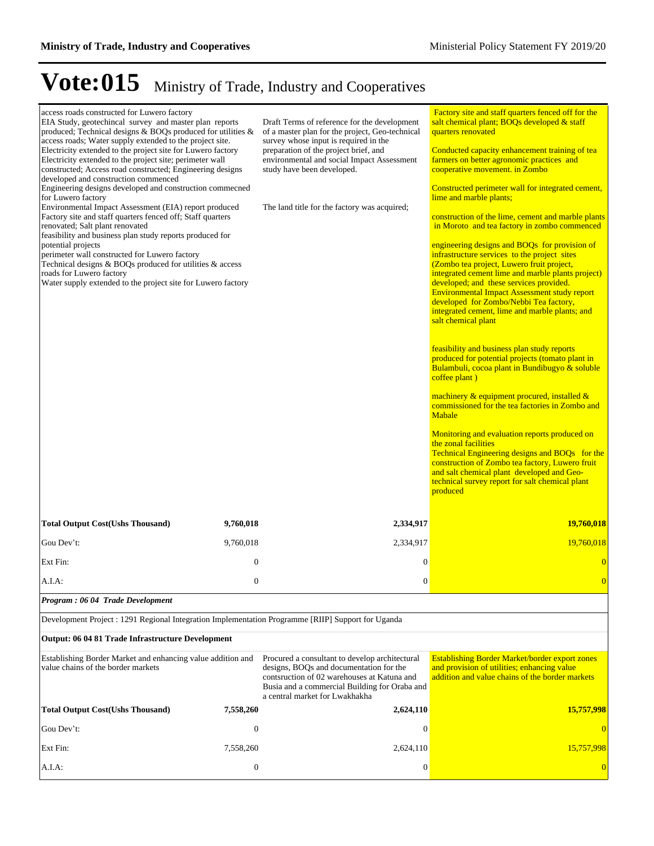| access roads constructed for Luwero factory<br>EIA Study, geotechincal survey and master plan reports<br>produced; Technical designs & BOQs produced for utilities &<br>access roads; Water supply extended to the project site.<br>Electricity extended to the project site for Luwero factory<br>Electricity extended to the project site; perimeter wall<br>constructed; Access road constructed; Engineering designs<br>developed and construction commenced<br>Engineering designs developed and construction commecned<br>for Luwero factory<br>Environmental Impact Assessment (EIA) report produced<br>Factory site and staff quarters fenced off; Staff quarters<br>renovated; Salt plant renovated<br>feasibility and business plan study reports produced for<br>potential projects<br>perimeter wall constructed for Luwero factory<br>Technical designs & BOQs produced for utilities & access<br>roads for Luwero factory<br>Water supply extended to the project site for Luwero factory |                  | Draft Terms of reference for the development<br>of a master plan for the project, Geo-technical<br>survey whose input is required in the<br>preparation of the project brief, and<br>environmental and social Impact Assessment<br>study have been developed.<br>The land title for the factory was acquired; | <b>Factory site and staff quarters fenced off for the</b><br>salt chemical plant; BOQs developed & staff<br>quarters renovated<br>Conducted capacity enhancement training of tea<br>farmers on better agronomic practices and<br>cooperative movement. in Zombo<br>Constructed perimeter wall for integrated cement,<br>lime and marble plants;<br>construction of the lime, cement and marble plants<br>in Moroto and tea factory in zombo commenced<br>engineering designs and BOQs for provision of<br>infrastructure services to the project sites<br>(Zombo tea project, Luwero fruit project,<br>integrated cement lime and marble plants project)<br>developed; and these services provided.<br><b>Environmental Impact Assessment study report</b><br>developed for Zombo/Nebbi Tea factory,<br>integrated cement, lime and marble plants; and<br>salt chemical plant<br>feasibility and business plan study reports<br>produced for potential projects (tomato plant in<br>Bulambuli, cocoa plant in Bundibugyo & soluble<br>coffee plant)<br>machinery & equipment procured, installed &<br>commissioned for the tea factories in Zombo and<br>Mabale<br>Monitoring and evaluation reports produced on<br>the zonal facilities<br>Technical Engineering designs and BOQs for the<br>construction of Zombo tea factory, Luwero fruit<br>and salt chemical plant developed and Geo-<br>technical survey report for salt chemical plant<br>produced |
|---------------------------------------------------------------------------------------------------------------------------------------------------------------------------------------------------------------------------------------------------------------------------------------------------------------------------------------------------------------------------------------------------------------------------------------------------------------------------------------------------------------------------------------------------------------------------------------------------------------------------------------------------------------------------------------------------------------------------------------------------------------------------------------------------------------------------------------------------------------------------------------------------------------------------------------------------------------------------------------------------------|------------------|---------------------------------------------------------------------------------------------------------------------------------------------------------------------------------------------------------------------------------------------------------------------------------------------------------------|------------------------------------------------------------------------------------------------------------------------------------------------------------------------------------------------------------------------------------------------------------------------------------------------------------------------------------------------------------------------------------------------------------------------------------------------------------------------------------------------------------------------------------------------------------------------------------------------------------------------------------------------------------------------------------------------------------------------------------------------------------------------------------------------------------------------------------------------------------------------------------------------------------------------------------------------------------------------------------------------------------------------------------------------------------------------------------------------------------------------------------------------------------------------------------------------------------------------------------------------------------------------------------------------------------------------------------------------------------------------------------------------------------------------------------------------------------|
| <b>Total Output Cost(Ushs Thousand)</b>                                                                                                                                                                                                                                                                                                                                                                                                                                                                                                                                                                                                                                                                                                                                                                                                                                                                                                                                                                 | 9,760,018        | 2,334,917                                                                                                                                                                                                                                                                                                     | 19,760,018                                                                                                                                                                                                                                                                                                                                                                                                                                                                                                                                                                                                                                                                                                                                                                                                                                                                                                                                                                                                                                                                                                                                                                                                                                                                                                                                                                                                                                                 |
| Gou Dev't:                                                                                                                                                                                                                                                                                                                                                                                                                                                                                                                                                                                                                                                                                                                                                                                                                                                                                                                                                                                              | 9,760,018        | 2,334,917                                                                                                                                                                                                                                                                                                     | 19,760,018                                                                                                                                                                                                                                                                                                                                                                                                                                                                                                                                                                                                                                                                                                                                                                                                                                                                                                                                                                                                                                                                                                                                                                                                                                                                                                                                                                                                                                                 |
| Ext Fin:                                                                                                                                                                                                                                                                                                                                                                                                                                                                                                                                                                                                                                                                                                                                                                                                                                                                                                                                                                                                | $\mathbf{0}$     | $\boldsymbol{0}$                                                                                                                                                                                                                                                                                              | $\overline{0}$                                                                                                                                                                                                                                                                                                                                                                                                                                                                                                                                                                                                                                                                                                                                                                                                                                                                                                                                                                                                                                                                                                                                                                                                                                                                                                                                                                                                                                             |
| A.I.A:                                                                                                                                                                                                                                                                                                                                                                                                                                                                                                                                                                                                                                                                                                                                                                                                                                                                                                                                                                                                  | $\mathbf{0}$     | $\overline{0}$                                                                                                                                                                                                                                                                                                | $\overline{0}$                                                                                                                                                                                                                                                                                                                                                                                                                                                                                                                                                                                                                                                                                                                                                                                                                                                                                                                                                                                                                                                                                                                                                                                                                                                                                                                                                                                                                                             |
| Program: 06 04 Trade Development                                                                                                                                                                                                                                                                                                                                                                                                                                                                                                                                                                                                                                                                                                                                                                                                                                                                                                                                                                        |                  |                                                                                                                                                                                                                                                                                                               |                                                                                                                                                                                                                                                                                                                                                                                                                                                                                                                                                                                                                                                                                                                                                                                                                                                                                                                                                                                                                                                                                                                                                                                                                                                                                                                                                                                                                                                            |
| Development Project : 1291 Regional Integration Implementation Programme [RIIP] Support for Uganda                                                                                                                                                                                                                                                                                                                                                                                                                                                                                                                                                                                                                                                                                                                                                                                                                                                                                                      |                  |                                                                                                                                                                                                                                                                                                               |                                                                                                                                                                                                                                                                                                                                                                                                                                                                                                                                                                                                                                                                                                                                                                                                                                                                                                                                                                                                                                                                                                                                                                                                                                                                                                                                                                                                                                                            |
| Output: 06 04 81 Trade Infrastructure Development                                                                                                                                                                                                                                                                                                                                                                                                                                                                                                                                                                                                                                                                                                                                                                                                                                                                                                                                                       |                  |                                                                                                                                                                                                                                                                                                               |                                                                                                                                                                                                                                                                                                                                                                                                                                                                                                                                                                                                                                                                                                                                                                                                                                                                                                                                                                                                                                                                                                                                                                                                                                                                                                                                                                                                                                                            |
| Establishing Border Market and enhancing value addition and<br>value chains of the border markets                                                                                                                                                                                                                                                                                                                                                                                                                                                                                                                                                                                                                                                                                                                                                                                                                                                                                                       |                  | Procured a consultant to develop architectural<br>designs, BOQs and documentation for the<br>contsruction of 02 warehouses at Katuna and<br>Busia and a commercial Building for Oraba and<br>a central market for Lwakhakha                                                                                   | <b>Establishing Border Market/border export zones</b><br>and provision of utilities; enhancing value<br>addition and value chains of the border markets                                                                                                                                                                                                                                                                                                                                                                                                                                                                                                                                                                                                                                                                                                                                                                                                                                                                                                                                                                                                                                                                                                                                                                                                                                                                                                    |
| <b>Total Output Cost(Ushs Thousand)</b>                                                                                                                                                                                                                                                                                                                                                                                                                                                                                                                                                                                                                                                                                                                                                                                                                                                                                                                                                                 | 7,558,260        | 2,624,110                                                                                                                                                                                                                                                                                                     | 15,757,998                                                                                                                                                                                                                                                                                                                                                                                                                                                                                                                                                                                                                                                                                                                                                                                                                                                                                                                                                                                                                                                                                                                                                                                                                                                                                                                                                                                                                                                 |
| Gou Dev't:                                                                                                                                                                                                                                                                                                                                                                                                                                                                                                                                                                                                                                                                                                                                                                                                                                                                                                                                                                                              | $\mathbf{0}$     | $\bf{0}$                                                                                                                                                                                                                                                                                                      | $\theta$                                                                                                                                                                                                                                                                                                                                                                                                                                                                                                                                                                                                                                                                                                                                                                                                                                                                                                                                                                                                                                                                                                                                                                                                                                                                                                                                                                                                                                                   |
| Ext Fin:                                                                                                                                                                                                                                                                                                                                                                                                                                                                                                                                                                                                                                                                                                                                                                                                                                                                                                                                                                                                | 7,558,260        | 2,624,110                                                                                                                                                                                                                                                                                                     | 15,757,998                                                                                                                                                                                                                                                                                                                                                                                                                                                                                                                                                                                                                                                                                                                                                                                                                                                                                                                                                                                                                                                                                                                                                                                                                                                                                                                                                                                                                                                 |
| A.I.A:                                                                                                                                                                                                                                                                                                                                                                                                                                                                                                                                                                                                                                                                                                                                                                                                                                                                                                                                                                                                  | $\boldsymbol{0}$ | $\boldsymbol{0}$                                                                                                                                                                                                                                                                                              |                                                                                                                                                                                                                                                                                                                                                                                                                                                                                                                                                                                                                                                                                                                                                                                                                                                                                                                                                                                                                                                                                                                                                                                                                                                                                                                                                                                                                                                            |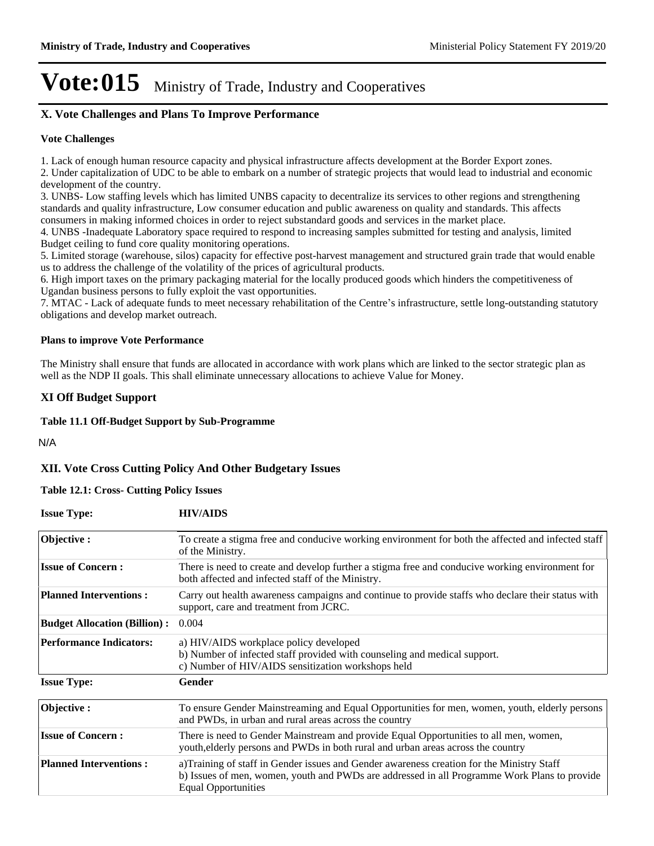### **X. Vote Challenges and Plans To Improve Performance**

### **Vote Challenges**

1. Lack of enough human resource capacity and physical infrastructure affects development at the Border Export zones.

2. Under capitalization of UDC to be able to embark on a number of strategic projects that would lead to industrial and economic development of the country.

3. UNBS- Low staffing levels which has limited UNBS capacity to decentralize its services to other regions and strengthening standards and quality infrastructure, Low consumer education and public awareness on quality and standards. This affects consumers in making informed choices in order to reject substandard goods and services in the market place.

4. UNBS -Inadequate Laboratory space required to respond to increasing samples submitted for testing and analysis, limited Budget ceiling to fund core quality monitoring operations.

5. Limited storage (warehouse, silos) capacity for effective post-harvest management and structured grain trade that would enable us to address the challenge of the volatility of the prices of agricultural products.

6. High import taxes on the primary packaging material for the locally produced goods which hinders the competitiveness of Ugandan business persons to fully exploit the vast opportunities.

7. MTAC - Lack of adequate funds to meet necessary rehabilitation of the Centre's infrastructure, settle long-outstanding statutory obligations and develop market outreach.

#### **Plans to improve Vote Performance**

The Ministry shall ensure that funds are allocated in accordance with work plans which are linked to the sector strategic plan as well as the NDP II goals. This shall eliminate unnecessary allocations to achieve Value for Money.

### **XI Off Budget Support**

#### **Table 11.1 Off-Budget Support by Sub-Programme**

N/A

### **XII. Vote Cross Cutting Policy And Other Budgetary Issues**

### **Table 12.1: Cross- Cutting Policy Issues**

| <b>Issue Type:</b>                  | <b>HIV/AIDS</b>                                                                                                                                                                                                         |
|-------------------------------------|-------------------------------------------------------------------------------------------------------------------------------------------------------------------------------------------------------------------------|
| Objective:                          | To create a stigma free and conducive working environment for both the affected and infected staff<br>of the Ministry.                                                                                                  |
| <b>Issue of Concern:</b>            | There is need to create and develop further a stigma free and conducive working environment for<br>both affected and infected staff of the Ministry.                                                                    |
| <b>Planned Interventions:</b>       | Carry out health awareness campaigns and continue to provide staffs who declare their status with<br>support, care and treatment from JCRC.                                                                             |
| <b>Budget Allocation (Billion):</b> | 0.004                                                                                                                                                                                                                   |
| <b>Performance Indicators:</b>      | a) HIV/AIDS workplace policy developed<br>b) Number of infected staff provided with counseling and medical support.<br>c) Number of HIV/AIDS sensitization workshops held                                               |
| <b>Issue Type:</b>                  | Gender                                                                                                                                                                                                                  |
| Objective:                          | To ensure Gender Mainstreaming and Equal Opportunities for men, women, youth, elderly persons<br>and PWDs, in urban and rural areas across the country                                                                  |
| <b>Issue of Concern:</b>            | There is need to Gender Mainstream and provide Equal Opportunities to all men, women,<br>youth, elderly persons and PWDs in both rural and urban areas across the country                                               |
| <b>Planned Interventions:</b>       | a)Training of staff in Gender issues and Gender awareness creation for the Ministry Staff<br>b) Issues of men, women, youth and PWDs are addressed in all Programme Work Plans to provide<br><b>Equal Opportunities</b> |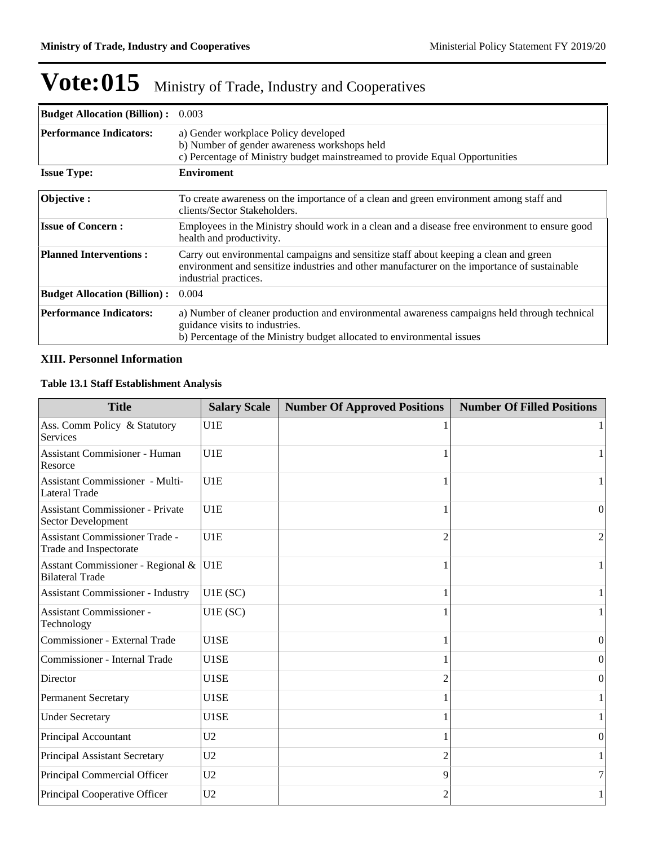| <b>Budget Allocation (Billion):</b> | 0.003                                                                                                                                                                                                          |
|-------------------------------------|----------------------------------------------------------------------------------------------------------------------------------------------------------------------------------------------------------------|
| <b>Performance Indicators:</b>      | a) Gender workplace Policy developed<br>b) Number of gender awareness workshops held<br>c) Percentage of Ministry budget mainstreamed to provide Equal Opportunities                                           |
| <b>Issue Type:</b>                  | <b>Enviroment</b>                                                                                                                                                                                              |
| Objective:                          | To create awareness on the importance of a clean and green environment among staff and<br>clients/Sector Stakeholders.                                                                                         |
| <b>Issue of Concern:</b>            | Employees in the Ministry should work in a clean and a disease free environment to ensure good<br>health and productivity.                                                                                     |
| <b>Planned Interventions:</b>       | Carry out environmental campaigns and sensitize staff about keeping a clean and green<br>environment and sensitize industries and other manufacturer on the importance of sustainable<br>industrial practices. |
| <b>Budget Allocation (Billion):</b> | 0.004                                                                                                                                                                                                          |
| <b>Performance Indicators:</b>      | a) Number of cleaner production and environmental awareness campaigns held through technical<br>guidance visits to industries.<br>b) Percentage of the Ministry budget allocated to environmental issues       |

### **XIII. Personnel Information**

### **Table 13.1 Staff Establishment Analysis**

| <b>Title</b>                                                   | <b>Salary Scale</b> | <b>Number Of Approved Positions</b> | <b>Number Of Filled Positions</b> |
|----------------------------------------------------------------|---------------------|-------------------------------------|-----------------------------------|
| Ass. Comm Policy & Statutory<br>Services                       | U1E                 |                                     |                                   |
| <b>Assistant Commisioner - Human</b><br>Resorce                | U1E                 |                                     |                                   |
| <b>Assistant Commissioner - Multi-</b><br><b>Lateral Trade</b> | U1E                 |                                     |                                   |
| <b>Assistant Commissioner - Private</b><br>Sector Development  | U1E                 |                                     | $\theta$                          |
| Assistant Commissioner Trade -<br>Trade and Inspectorate       | U1E                 |                                     | 2                                 |
| Asstant Commissioner - Regional &<br><b>Bilateral Trade</b>    | U <sub>1E</sub>     |                                     |                                   |
| <b>Assistant Commissioner - Industry</b>                       | U1E(SC)             |                                     |                                   |
| <b>Assistant Commissioner -</b><br>Technology                  | U1E(SC)             |                                     |                                   |
| Commissioner - External Trade                                  | U1SE                |                                     | $\Omega$                          |
| Commissioner - Internal Trade                                  | U1SE                |                                     | $\overline{0}$                    |
| Director                                                       | U1SE                |                                     | $\theta$                          |
| Permanent Secretary                                            | U1SE                |                                     |                                   |
| <b>Under Secretary</b>                                         | U1SE                |                                     |                                   |
| Principal Accountant                                           | U <sub>2</sub>      |                                     | $\vert 0 \vert$                   |
| Principal Assistant Secretary                                  | U <sub>2</sub>      |                                     |                                   |
| Principal Commercial Officer                                   | U <sub>2</sub>      | 9                                   | 7                                 |
| Principal Cooperative Officer                                  | U <sub>2</sub>      | 2                                   |                                   |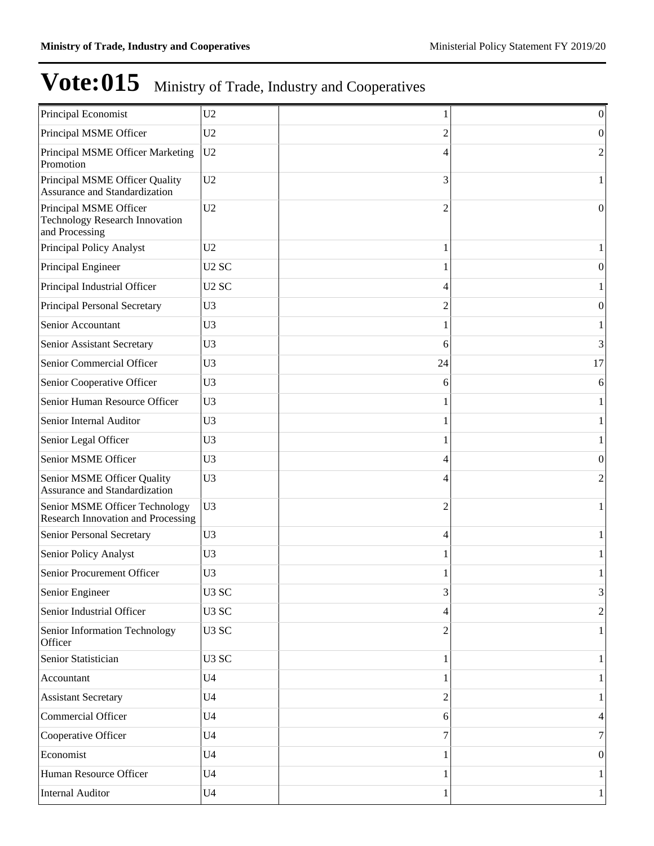| Principal Economist                                                               | U <sub>2</sub>    |    | 0                |
|-----------------------------------------------------------------------------------|-------------------|----|------------------|
| Principal MSME Officer                                                            | U <sub>2</sub>    | 2  | $\overline{0}$   |
| Principal MSME Officer Marketing<br>Promotion                                     | U <sub>2</sub>    | 4  | $\overline{2}$   |
| Principal MSME Officer Quality<br>Assurance and Standardization                   | U2                | 3  | 1                |
| Principal MSME Officer<br><b>Technology Research Innovation</b><br>and Processing | U <sub>2</sub>    | 2  | $\boldsymbol{0}$ |
| Principal Policy Analyst                                                          | U2                |    |                  |
| Principal Engineer                                                                | U <sub>2</sub> SC |    | $\boldsymbol{0}$ |
| Principal Industrial Officer                                                      | U <sub>2</sub> SC | 4  |                  |
| Principal Personal Secretary                                                      | U <sub>3</sub>    | 2  | $\boldsymbol{0}$ |
| Senior Accountant                                                                 | U <sub>3</sub>    |    | 1                |
| Senior Assistant Secretary                                                        | U <sub>3</sub>    | 6  | 3                |
| Senior Commercial Officer                                                         | U <sub>3</sub>    | 24 | 17               |
| Senior Cooperative Officer                                                        | U <sub>3</sub>    | 6  | 6                |
| Senior Human Resource Officer                                                     | U <sub>3</sub>    |    |                  |
| Senior Internal Auditor                                                           | U <sub>3</sub>    |    |                  |
| Senior Legal Officer                                                              | U <sub>3</sub>    |    |                  |
| Senior MSME Officer                                                               | U <sub>3</sub>    | 4  | $\boldsymbol{0}$ |
| Senior MSME Officer Quality<br>Assurance and Standardization                      | U <sub>3</sub>    | 4  | $\overline{c}$   |
| Senior MSME Officer Technology<br><b>Research Innovation and Processing</b>       | U <sub>3</sub>    | 2  |                  |
| Senior Personal Secretary                                                         | U <sub>3</sub>    | 4  | 1                |
| Senior Policy Analyst                                                             | U <sub>3</sub>    |    | 1                |
| Senior Procurement Officer                                                        | U <sub>3</sub>    | 1  | 1                |
| Senior Engineer                                                                   | U <sub>3</sub> SC | 3  | 3                |
| Senior Industrial Officer                                                         | U <sub>3</sub> SC | 4  | $\overline{2}$   |
| Senior Information Technology<br>Officer                                          | U <sub>3</sub> SC | 2  | $\mathbf{1}$     |
| Senior Statistician                                                               | U <sub>3</sub> SC |    |                  |
| Accountant                                                                        | U <sub>4</sub>    |    |                  |
| <b>Assistant Secretary</b>                                                        | U <sub>4</sub>    | 2  |                  |
| Commercial Officer                                                                | U <sub>4</sub>    | 6  | 4                |
| Cooperative Officer                                                               | U <sub>4</sub>    | 7  | 7                |
| Economist                                                                         | U <sub>4</sub>    |    | $\mathbf{0}$     |
| Human Resource Officer                                                            | U <sub>4</sub>    |    |                  |
| <b>Internal Auditor</b>                                                           | U <sub>4</sub>    | 1  | 1                |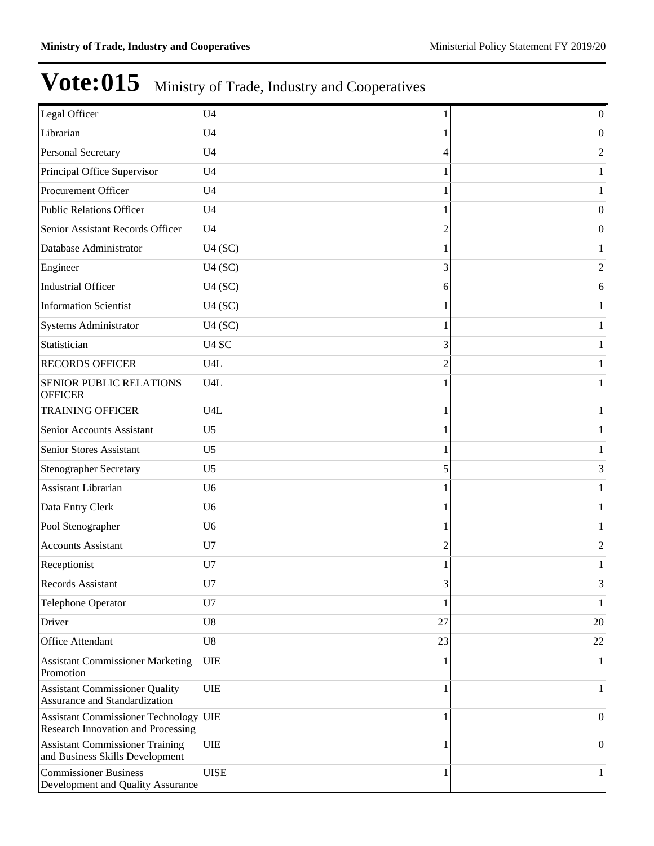| Legal Officer                                                               | U <sub>4</sub>    |    | $\boldsymbol{0}$ |
|-----------------------------------------------------------------------------|-------------------|----|------------------|
| Librarian                                                                   | U <sub>4</sub>    |    | $\mathbf{0}$     |
| Personal Secretary                                                          | U <sub>4</sub>    | 4  | $\mathfrak{2}$   |
| Principal Office Supervisor                                                 | U <sub>4</sub>    |    | $\mathbf{1}$     |
| Procurement Officer                                                         | U <sub>4</sub>    |    | $\mathbf{1}$     |
| <b>Public Relations Officer</b>                                             | U <sub>4</sub>    |    | $\boldsymbol{0}$ |
| Senior Assistant Records Officer                                            | U <sub>4</sub>    | 2  | $\boldsymbol{0}$ |
| Database Administrator                                                      | U4(SC)            |    | $\mathbf{1}$     |
| Engineer                                                                    | U4(SC)            | 3  | $\boldsymbol{2}$ |
| <b>Industrial Officer</b>                                                   | U4(SC)            | 6  | 6                |
| <b>Information Scientist</b>                                                | U4(SC)            |    | $\mathbf{1}$     |
| Systems Administrator                                                       | U4(SC)            |    | $\mathbf{1}$     |
| Statistician                                                                | U <sub>4</sub> SC | 3  | $\mathbf{1}$     |
| <b>RECORDS OFFICER</b>                                                      | U4L               | 2  | $\mathbf{1}$     |
| <b>SENIOR PUBLIC RELATIONS</b><br><b>OFFICER</b>                            | U <sub>4</sub> L  |    | $\mathbf{1}$     |
| <b>TRAINING OFFICER</b>                                                     | U <sub>4</sub> L  | 1  | $\mathbf{1}$     |
| Senior Accounts Assistant                                                   | U <sub>5</sub>    |    | 1                |
| Senior Stores Assistant                                                     | U <sub>5</sub>    | 1  | $\mathbf{1}$     |
| <b>Stenographer Secretary</b>                                               | U <sub>5</sub>    | 5  | 3                |
| Assistant Librarian                                                         | U <sub>6</sub>    |    | $\mathbf{1}$     |
| Data Entry Clerk                                                            | U <sub>6</sub>    | 1  | 1                |
| Pool Stenographer                                                           | U <sub>6</sub>    |    | $\mathbf{1}$     |
| <b>Accounts Assistant</b>                                                   | U7                | 2  | $\overline{c}$   |
| Receptionist                                                                | U7                |    | 1                |
| Records Assistant                                                           | U7                | 3  | $3\vert$         |
| Telephone Operator                                                          | U7                | 1  | $\mathbf{1}$     |
| Driver                                                                      | U8                | 27 | 20               |
| Office Attendant                                                            | U8                | 23 | 22               |
| <b>Assistant Commissioner Marketing</b><br>Promotion                        | <b>UIE</b>        | 1  | $\mathbf{1}$     |
| <b>Assistant Commissioner Quality</b><br>Assurance and Standardization      | <b>UIE</b>        | 1  | 1                |
| Assistant Commissioner Technology UIE<br>Research Innovation and Processing |                   | 1  | $\boldsymbol{0}$ |
| <b>Assistant Commissioner Training</b><br>and Business Skills Development   | <b>UIE</b>        | 1  | $\boldsymbol{0}$ |
| <b>Commissioner Business</b><br>Development and Quality Assurance           | <b>UISE</b>       |    | 1                |